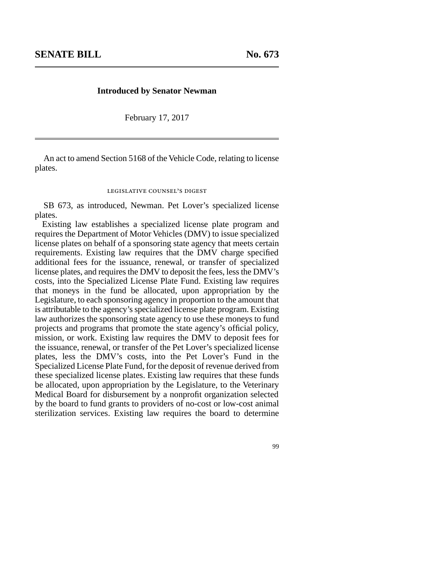## **Introduced by Senator Newman**

February 17, 2017

An act to amend Section 5168 of the Vehicle Code, relating to license plates.

## legislative counsel's digest

SB 673, as introduced, Newman. Pet Lover's specialized license plates.

Existing law establishes a specialized license plate program and requires the Department of Motor Vehicles (DMV) to issue specialized license plates on behalf of a sponsoring state agency that meets certain requirements. Existing law requires that the DMV charge specified additional fees for the issuance, renewal, or transfer of specialized license plates, and requires the DMV to deposit the fees, less the DMV's costs, into the Specialized License Plate Fund. Existing law requires that moneys in the fund be allocated, upon appropriation by the Legislature, to each sponsoring agency in proportion to the amount that is attributable to the agency's specialized license plate program. Existing law authorizes the sponsoring state agency to use these moneys to fund projects and programs that promote the state agency's official policy, mission, or work. Existing law requires the DMV to deposit fees for the issuance, renewal, or transfer of the Pet Lover's specialized license plates, less the DMV's costs, into the Pet Lover's Fund in the Specialized License Plate Fund, for the deposit of revenue derived from these specialized license plates. Existing law requires that these funds be allocated, upon appropriation by the Legislature, to the Veterinary Medical Board for disbursement by a nonprofit organization selected by the board to fund grants to providers of no-cost or low-cost animal sterilization services. Existing law requires the board to determine

99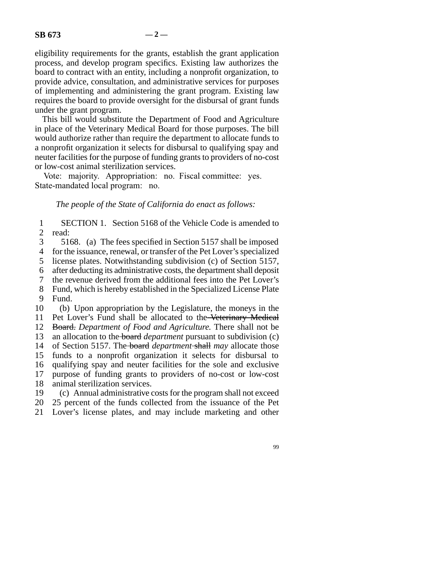eligibility requirements for the grants, establish the grant application process, and develop program specifics. Existing law authorizes the board to contract with an entity, including a nonprofit organization, to provide advice, consultation, and administrative services for purposes of implementing and administering the grant program. Existing law requires the board to provide oversight for the disbursal of grant funds under the grant program.

This bill would substitute the Department of Food and Agriculture in place of the Veterinary Medical Board for those purposes. The bill would authorize rather than require the department to allocate funds to a nonprofit organization it selects for disbursal to qualifying spay and neuter facilities for the purpose of funding grants to providers of no-cost or low-cost animal sterilization services.

Vote: majority. Appropriation: no. Fiscal committee: yes. State-mandated local program: no.

## *The people of the State of California do enact as follows:*

1 SECTION 1. Section 5168 of the Vehicle Code is amended to read: read:

3 5168. (a) The fees specified in Section 5157 shall be imposed

4 for the issuance, renewal, or transfer of the Pet Lover's specialized

5 license plates. Notwithstanding subdivision (c) of Section 5157,

line 6 after deducting its administrative costs, the department shall deposit

7 the revenue derived from the additional fees into the Pet Lover's 8 Fund, which is hereby established in the Specialized License Plate

9 Fund.

10 (b) Upon appropriation by the Legislature, the moneys in the 11 Pet Lover's Fund shall be allocated to the Veterinary Medical

12 Board. Department of Food and Agriculture. There shall not be

13 an allocation to the board *department* pursuant to subdivision (c)

14 of Section 5157. The board *department* shall may allocate those

15 funds to a nonprofit organization it selects for disbursal to

16 qualifying spay and neuter facilities for the sole and exclusive

17 purpose of funding grants to providers of no-cost or low-cost

18 animal sterilization services.

19 (c) Annual administrative costs for the program shall not exceed

20 25 percent of the funds collected from the issuance of the Pet

21 Lover's license plates, and may include marketing and other